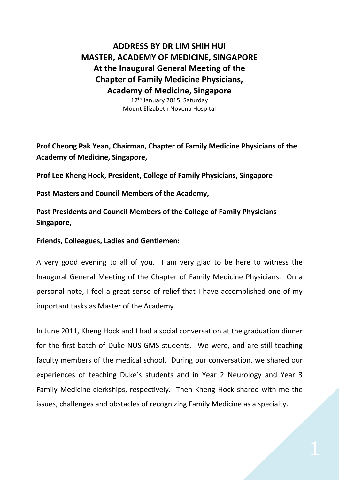## **ADDRESS BY DR LIM SHIH HUI MASTER, ACADEMY OF MEDICINE, SINGAPORE At the Inaugural General Meeting of the Chapter of Family Medicine Physicians, Academy of Medicine, Singapore**

17<sup>th</sup> January 2015, Saturday Mount Elizabeth Novena Hospital

**Prof Cheong Pak Yean, Chairman, Chapter of Family Medicine Physicians of the Academy of Medicine, Singapore,** 

**Prof Lee Kheng Hock, President, College of Family Physicians, Singapore**

**Past Masters and Council Members of the Academy,**

**Past Presidents and Council Members of the College of Family Physicians Singapore,**

**Friends, Colleagues, Ladies and Gentlemen:**

A very good evening to all of you. I am very glad to be here to witness the Inaugural General Meeting of the Chapter of Family Medicine Physicians. On a personal note, I feel a great sense of relief that I have accomplished one of my important tasks as Master of the Academy.

In June 2011, Kheng Hock and I had a social conversation at the graduation dinner for the first batch of Duke-NUS-GMS students. We were, and are still teaching faculty members of the medical school. During our conversation, we shared our experiences of teaching Duke's students and in Year 2 Neurology and Year 3 Family Medicine clerkships, respectively. Then Kheng Hock shared with me the issues, challenges and obstacles of recognizing Family Medicine as a specialty.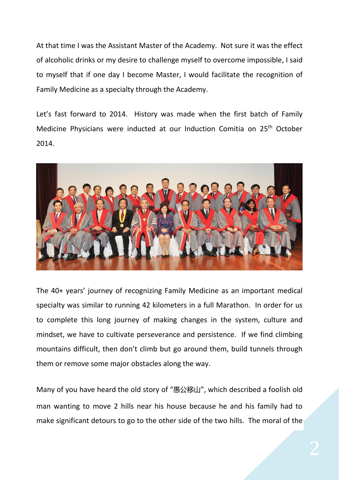At that time I was the Assistant Master of the Academy. Not sure it was the effect of alcoholic drinks or my desire to challenge myself to overcome impossible, I said to myself that if one day I become Master, I would facilitate the recognition of Family Medicine as a specialty through the Academy.

Let's fast forward to 2014. History was made when the first batch of Family Medicine Physicians were inducted at our Induction Comitia on 25<sup>th</sup> October 2014.



The 40+ years' journey of recognizing Family Medicine as an important medical specialty was similar to running 42 kilometers in a full Marathon. In order for us to complete this long journey of making changes in the system, culture and mindset, we have to cultivate perseverance and persistence. If we find climbing mountains difficult, then don't climb but go around them, build tunnels through them or remove some major obstacles along the way.

Many of you have heard the old story of "愚公移山", which described a foolish old man wanting to move 2 hills near his house because he and his family had to make significant detours to go to the other side of the two hills. The moral of the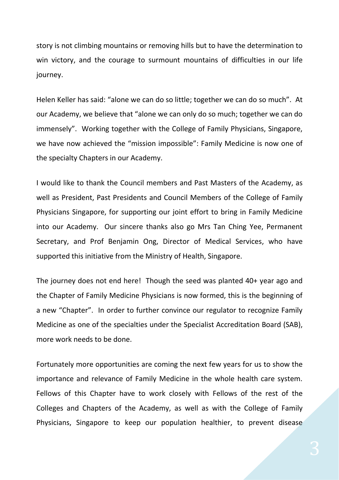story is not climbing mountains or removing hills but to have the determination to win victory, and the courage to surmount mountains of difficulties in our life journey.

Helen Keller has said: "alone we can do so little; together we can do so much". At our Academy, we believe that "alone we can only do so much; together we can do immensely". Working together with the College of Family Physicians, Singapore, we have now achieved the "mission impossible": Family Medicine is now one of the specialty Chapters in our Academy.

I would like to thank the Council members and Past Masters of the Academy, as well as President, Past Presidents and Council Members of the College of Family Physicians Singapore, for supporting our joint effort to bring in Family Medicine into our Academy. Our sincere thanks also go Mrs Tan Ching Yee, Permanent Secretary, and Prof Benjamin Ong, Director of Medical Services, who have supported this initiative from the Ministry of Health, Singapore.

The journey does not end here! Though the seed was planted 40+ year ago and the Chapter of Family Medicine Physicians is now formed, this is the beginning of a new "Chapter". In order to further convince our regulator to recognize Family Medicine as one of the specialties under the Specialist Accreditation Board (SAB), more work needs to be done.

Fortunately more opportunities are coming the next few years for us to show the importance and relevance of Family Medicine in the whole health care system. Fellows of this Chapter have to work closely with Fellows of the rest of the Colleges and Chapters of the Academy, as well as with the College of Family Physicians, Singapore to keep our population healthier, to prevent disease